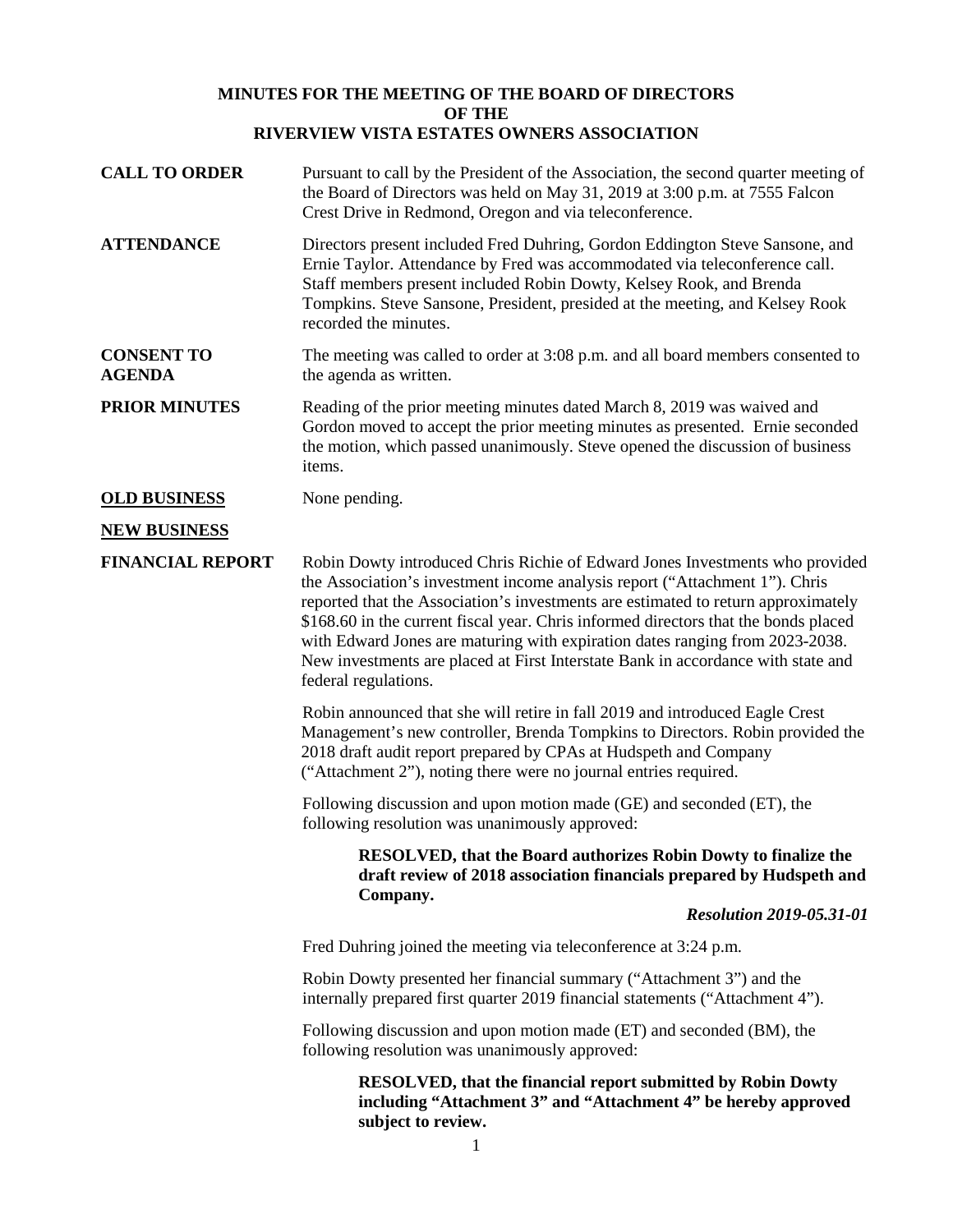# **MINUTES FOR THE MEETING OF THE BOARD OF DIRECTORS OF THE RIVERVIEW VISTA ESTATES OWNERS ASSOCIATION**

| <b>CALL TO ORDER</b>               | Pursuant to call by the President of the Association, the second quarter meeting of<br>the Board of Directors was held on May 31, 2019 at 3:00 p.m. at 7555 Falcon<br>Crest Drive in Redmond, Oregon and via teleconference.                                                                                                                                                                                                                                                                                                        |
|------------------------------------|-------------------------------------------------------------------------------------------------------------------------------------------------------------------------------------------------------------------------------------------------------------------------------------------------------------------------------------------------------------------------------------------------------------------------------------------------------------------------------------------------------------------------------------|
| <b>ATTENDANCE</b>                  | Directors present included Fred Duhring, Gordon Eddington Steve Sansone, and<br>Ernie Taylor. Attendance by Fred was accommodated via teleconference call.<br>Staff members present included Robin Dowty, Kelsey Rook, and Brenda<br>Tompkins. Steve Sansone, President, presided at the meeting, and Kelsey Rook<br>recorded the minutes.                                                                                                                                                                                          |
| <b>CONSENT TO</b><br><b>AGENDA</b> | The meeting was called to order at 3:08 p.m. and all board members consented to<br>the agenda as written.                                                                                                                                                                                                                                                                                                                                                                                                                           |
| <b>PRIOR MINUTES</b>               | Reading of the prior meeting minutes dated March 8, 2019 was waived and<br>Gordon moved to accept the prior meeting minutes as presented. Ernie seconded<br>the motion, which passed unanimously. Steve opened the discussion of business<br>items.                                                                                                                                                                                                                                                                                 |
| <b>OLD BUSINESS</b>                | None pending.                                                                                                                                                                                                                                                                                                                                                                                                                                                                                                                       |
| <b>NEW BUSINESS</b>                |                                                                                                                                                                                                                                                                                                                                                                                                                                                                                                                                     |
| <b>FINANCIAL REPORT</b>            | Robin Dowty introduced Chris Richie of Edward Jones Investments who provided<br>the Association's investment income analysis report ("Attachment 1"). Chris<br>reported that the Association's investments are estimated to return approximately<br>\$168.60 in the current fiscal year. Chris informed directors that the bonds placed<br>with Edward Jones are maturing with expiration dates ranging from 2023-2038.<br>New investments are placed at First Interstate Bank in accordance with state and<br>federal regulations. |
|                                    | Robin announced that she will retire in fall 2019 and introduced Eagle Crest<br>Management's new controller, Brenda Tompkins to Directors. Robin provided the<br>2018 draft audit report prepared by CPAs at Hudspeth and Company<br>("Attachment 2"), noting there were no journal entries required.                                                                                                                                                                                                                               |
|                                    | Following discussion and upon motion made (GE) and seconded (ET), the<br>following resolution was unanimously approved:                                                                                                                                                                                                                                                                                                                                                                                                             |
|                                    | <b>RESOLVED, that the Board authorizes Robin Dowty to finalize the</b><br>draft review of 2018 association financials prepared by Hudspeth and<br>Company.                                                                                                                                                                                                                                                                                                                                                                          |
|                                    | <b>Resolution 2019-05.31-01</b>                                                                                                                                                                                                                                                                                                                                                                                                                                                                                                     |
|                                    | Fred Duhring joined the meeting via teleconference at 3:24 p.m.                                                                                                                                                                                                                                                                                                                                                                                                                                                                     |
|                                    | Robin Dowty presented her financial summary ("Attachment 3") and the<br>internally prepared first quarter 2019 financial statements ("Attachment 4").                                                                                                                                                                                                                                                                                                                                                                               |
|                                    | Following discussion and upon motion made (ET) and seconded (BM), the<br>following resolution was unanimously approved:                                                                                                                                                                                                                                                                                                                                                                                                             |
|                                    | <b>RESOLVED, that the financial report submitted by Robin Dowty</b><br>including "Attachment 3" and "Attachment 4" be hereby approved<br>subject to review.                                                                                                                                                                                                                                                                                                                                                                         |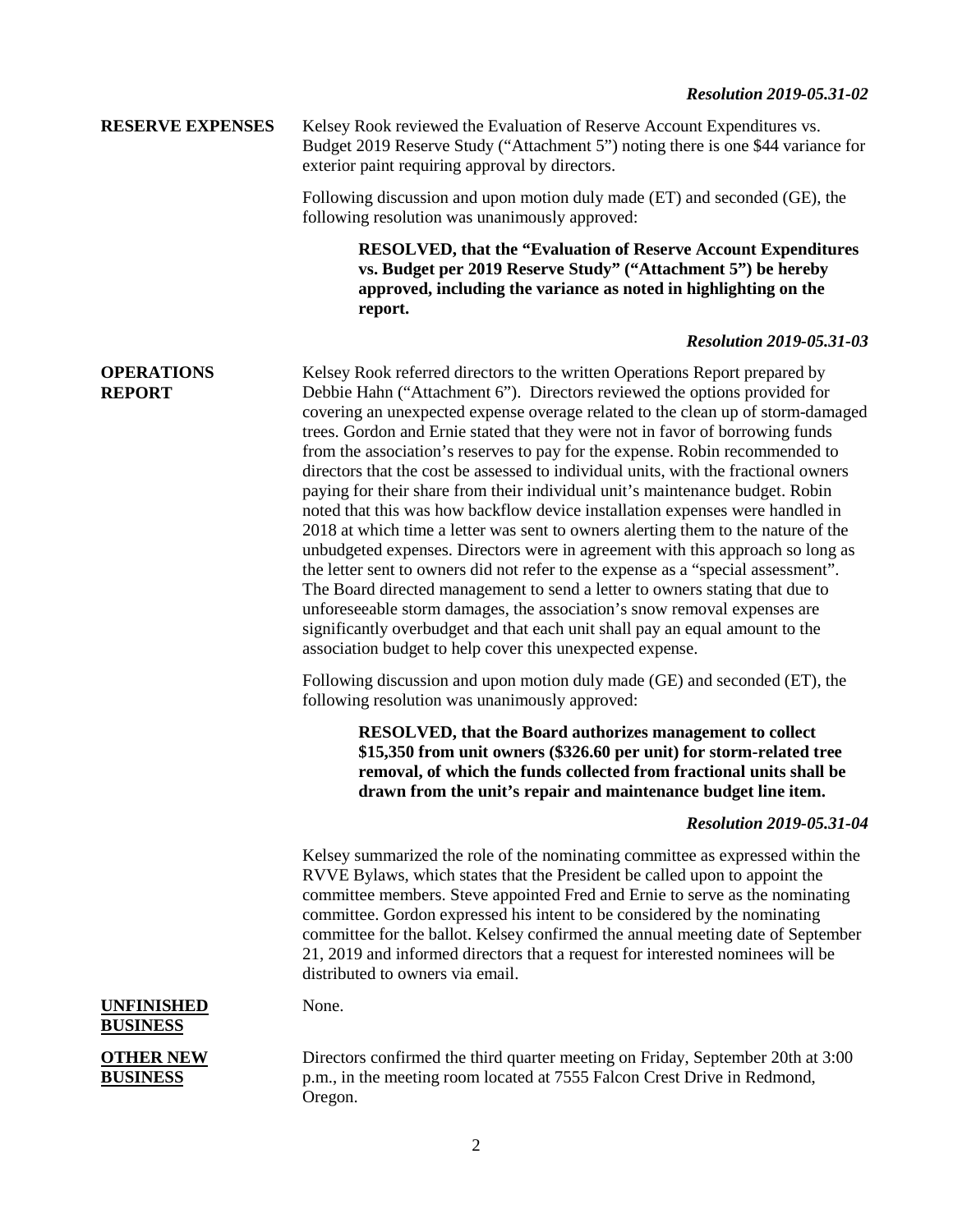## *Resolution 2019-05.31-02*

# **RESERVE EXPENSES** Kelsey Rook reviewed the Evaluation of Reserve Account Expenditures vs. Budget 2019 Reserve Study ("Attachment 5") noting there is one \$44 variance for exterior paint requiring approval by directors.

Following discussion and upon motion duly made (ET) and seconded (GE), the following resolution was unanimously approved:

> **RESOLVED, that the "Evaluation of Reserve Account Expenditures vs. Budget per 2019 Reserve Study" ("Attachment 5") be hereby approved, including the variance as noted in highlighting on the report.**

#### *Resolution 2019-05.31-03*

#### **OPERATIONS REPORT** Kelsey Rook referred directors to the written Operations Report prepared by Debbie Hahn ("Attachment 6"). Directors reviewed the options provided for covering an unexpected expense overage related to the clean up of storm-damaged trees. Gordon and Ernie stated that they were not in favor of borrowing funds from the association's reserves to pay for the expense. Robin recommended to directors that the cost be assessed to individual units, with the fractional owners paying for their share from their individual unit's maintenance budget. Robin noted that this was how backflow device installation expenses were handled in 2018 at which time a letter was sent to owners alerting them to the nature of the unbudgeted expenses. Directors were in agreement with this approach so long as the letter sent to owners did not refer to the expense as a "special assessment". The Board directed management to send a letter to owners stating that due to unforeseeable storm damages, the association's snow removal expenses are

significantly overbudget and that each unit shall pay an equal amount to the association budget to help cover this unexpected expense.

Following discussion and upon motion duly made (GE) and seconded (ET), the following resolution was unanimously approved:

> **RESOLVED, that the Board authorizes management to collect \$15,350 from unit owners (\$326.60 per unit) for storm-related tree removal, of which the funds collected from fractional units shall be drawn from the unit's repair and maintenance budget line item.**

## *Resolution 2019-05.31-04*

Kelsey summarized the role of the nominating committee as expressed within the RVVE Bylaws, which states that the President be called upon to appoint the committee members. Steve appointed Fred and Ernie to serve as the nominating committee. Gordon expressed his intent to be considered by the nominating committee for the ballot. Kelsey confirmed the annual meeting date of September 21, 2019 and informed directors that a request for interested nominees will be distributed to owners via email.

### **UNFINISHED BUSINESS**

None.

# **OTHER NEW BUSINESS**

Directors confirmed the third quarter meeting on Friday, September 20th at 3:00 p.m., in the meeting room located at 7555 Falcon Crest Drive in Redmond, Oregon.